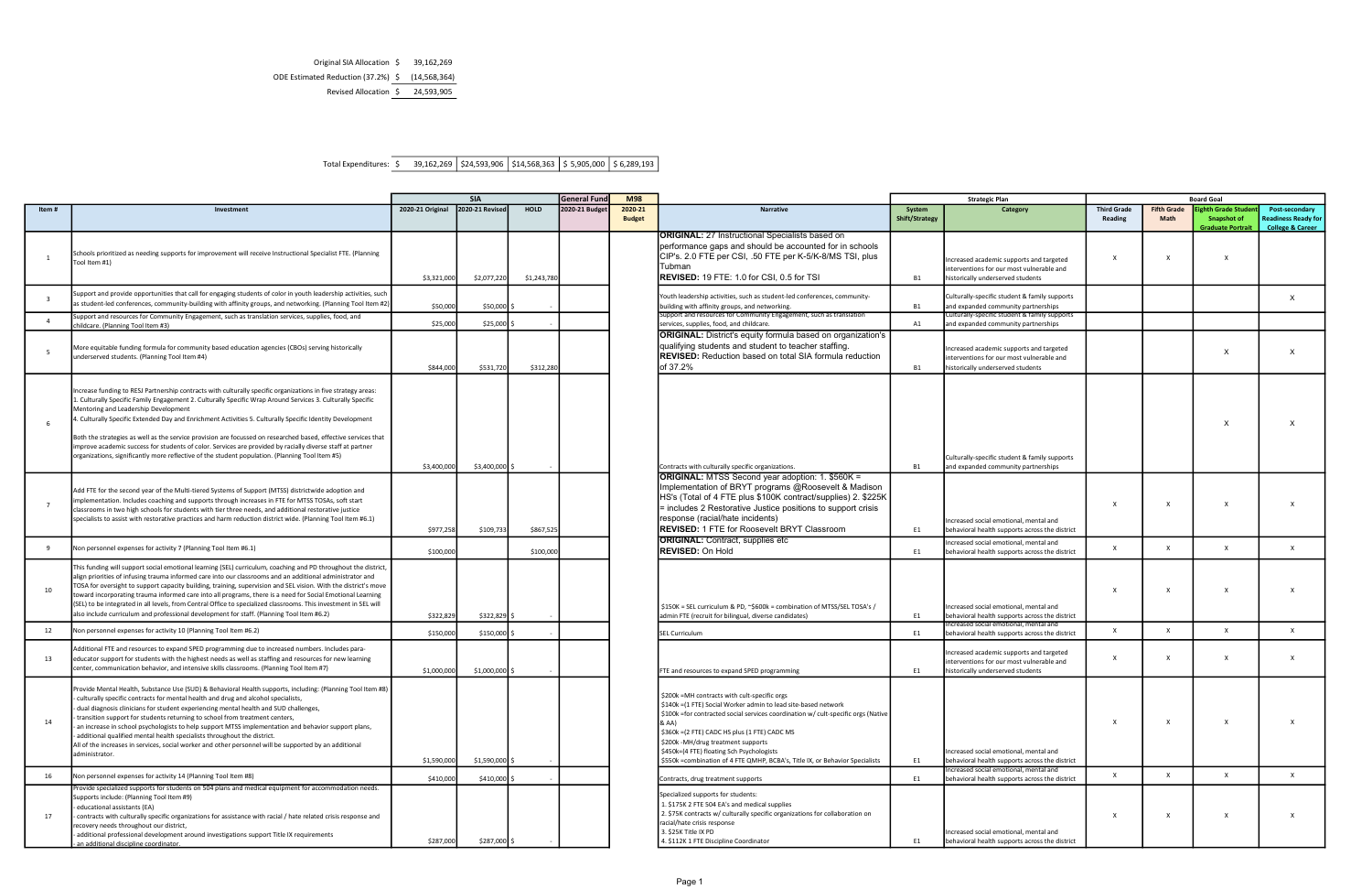Total Expenditures:  $\overline{\$}$  39,162,269  $\overline{\$24,593,906}$   $\overline{\$14,568,363}$   $\overline{\$5,905,000}$   $\overline{\$6,289,193}$ 

|                         |                                                                                                                                                                                                                                                                                                                                                                                                                                                                                                                                                                                                                                                                                                                    | <b>SIA</b><br><b>General Fund</b> |                 | <b>M98</b>  |               |                          | <b>Strategic Plan</b>                                                                                                                                                                                                                                                                                                                                                                                                              | <b>Board Goal</b>        |                                                                                                                            |                                          |              |                                                                    |                                                                             |
|-------------------------|--------------------------------------------------------------------------------------------------------------------------------------------------------------------------------------------------------------------------------------------------------------------------------------------------------------------------------------------------------------------------------------------------------------------------------------------------------------------------------------------------------------------------------------------------------------------------------------------------------------------------------------------------------------------------------------------------------------------|-----------------------------------|-----------------|-------------|---------------|--------------------------|------------------------------------------------------------------------------------------------------------------------------------------------------------------------------------------------------------------------------------------------------------------------------------------------------------------------------------------------------------------------------------------------------------------------------------|--------------------------|----------------------------------------------------------------------------------------------------------------------------|------------------------------------------|--------------|--------------------------------------------------------------------|-----------------------------------------------------------------------------|
|                         |                                                                                                                                                                                                                                                                                                                                                                                                                                                                                                                                                                                                                                                                                                                    |                                   |                 |             |               |                          |                                                                                                                                                                                                                                                                                                                                                                                                                                    |                          |                                                                                                                            | <b>Third Grade</b><br><b>Fifth Grade</b> |              |                                                                    |                                                                             |
| ltem #                  | Investment                                                                                                                                                                                                                                                                                                                                                                                                                                                                                                                                                                                                                                                                                                         | 2020-21 Original                  | 2020-21 Revised | <b>HOLD</b> | 2020-21 Budge | 2020-21<br><b>Budget</b> | <b>Narrative</b>                                                                                                                                                                                                                                                                                                                                                                                                                   | System<br>Shift/Strategy | Category                                                                                                                   | Reading                                  | Math         | hth Grade Studer<br><b>Snapshot of</b><br><b>Graduate Portrait</b> | Post-secondary<br><b>Readiness Ready for</b><br><b>College &amp; Career</b> |
|                         | Schools prioritized as needing supports for improvement will receive Instructional Specialist FTE. (Planning<br>Fool Item #1)                                                                                                                                                                                                                                                                                                                                                                                                                                                                                                                                                                                      | \$3,321,000                       | \$2,077,220     | \$1,243,780 |               |                          | <b>JORIGINAL: 27 Instructional Specialists based on</b><br>performance gaps and should be accounted for in schools<br>CIP's. 2.0 FTE per CSI, .50 FTE per K-5/K-8/MS TSI, plus<br>lTubman<br><b>IREVISED:</b> 19 FTE: 1.0 for CSI, 0.5 for TSI                                                                                                                                                                                     | <b>B1</b>                | Increased academic supports and targeted<br>interventions for our most vulnerable and<br>historically underserved students | $\times$                                 | x            | $\mathsf{x}$                                                       |                                                                             |
| $\overline{\mathbf{3}}$ | Support and provide opportunities that call for engaging students of color in youth leadership activities, such<br>(1921) as student-led conferences, community-building with affinity groups, and networking. (Planning Tool Item                                                                                                                                                                                                                                                                                                                                                                                                                                                                                 | \$50,000                          | \$50,000 \$     |             |               |                          | Youth leadership activities, such as student-led conferences, community-<br>building with affinity groups, and networking.                                                                                                                                                                                                                                                                                                         | <b>B1</b>                | Culturally-specific student & family supports<br>and expanded community partnerships                                       |                                          |              |                                                                    | X                                                                           |
| $\overline{4}$          | iupport and resources for Community Engagement, such as translation services, supplies, food, and<br>hildcare. (Planning Tool Item #3)                                                                                                                                                                                                                                                                                                                                                                                                                                                                                                                                                                             | \$25,000                          | \$25,000 \$     |             |               |                          | Support and resources for Community Engagement, such as translation<br>services, supplies, food, and childcare.                                                                                                                                                                                                                                                                                                                    | A1                       | Culturally-specific student & family supports<br>and expanded community partnerships                                       |                                          |              |                                                                    |                                                                             |
| - 5                     | More equitable funding formula for community based education agencies (CBOs) serving historically<br>underserved students. (Planning Tool Item #4)                                                                                                                                                                                                                                                                                                                                                                                                                                                                                                                                                                 | \$844,000                         | \$531,720       | \$312,280   |               |                          | <b>ORIGINAL:</b> District's equity formula based on organization's<br>qualifying students and student to teacher staffing.<br><b>REVISED:</b> Reduction based on total SIA formula reduction<br>of 37.2%                                                                                                                                                                                                                           | <b>B1</b>                | Increased academic supports and targeted<br>interventions for our most vulnerable and<br>historically underserved students |                                          |              | $\times$                                                           |                                                                             |
|                         | ncrease funding to RESJ Partnership contracts with culturally specific organizations in five strategy areas:<br>1. Culturally Specific Family Engagement 2. Culturally Specific Wrap Around Services 3. Culturally Specific<br>Mentoring and Leadership Development<br>4. Culturally Specific Extended Day and Enrichment Activities 5. Culturally Specific Identity Development<br>Both the strategies as well as the service provision are focussed on researched based, effective services that<br>mprove academic success for students of color. Services are provided by racially diverse staff at partner<br>organizations, significantly more reflective of the student population. (Planning Tool Item #5) | \$3,400,000                       | \$3,400,000 \$  |             |               |                          | Contracts with culturally specific organizations.                                                                                                                                                                                                                                                                                                                                                                                  | <b>B1</b>                | Culturally-specific student & family supports<br>and expanded community partnerships                                       |                                          |              | $\times$                                                           |                                                                             |
| $\overline{7}$          | Add FTE for the second year of the Multi-tiered Systems of Support (MTSS) districtwide adoption and<br>mplementation. Includes coaching and supports through increases in FTE for MTSS TOSAs, soft start<br>classrooms in two high schools for students with tier three needs, and additional restorative justice<br>specialists to assist with restorative practices and harm reduction district wide. (Planning Tool Item #6.1)                                                                                                                                                                                                                                                                                  | \$977,258                         | \$109,733       | \$867,525   |               |                          | <b>ORIGINAL:</b> MTSS Second year adoption: 1. \$560K =<br>Implementation of BRYT programs @Roosevelt & Madison<br>HS's (Total of 4 FTE plus \$100K contract/supplies) 2. \$225K<br>= includes 2 Restorative Justice positions to support crisis<br>response (racial/hate incidents)<br>REVISED: 1 FTE for Roosevelt BRYT Classroom                                                                                                | E1                       | Increased social emotional, mental and<br>behavioral health supports across the district                                   | x                                        | X            | $\mathsf{x}$                                                       |                                                                             |
| -9                      | Non personnel expenses for activity 7 (Planning Tool Item #6.1)                                                                                                                                                                                                                                                                                                                                                                                                                                                                                                                                                                                                                                                    | \$100,000                         |                 | \$100,000   |               |                          | <b>ORIGINAL:</b> Contract, supplies etc<br><b>IREVISED: On Hold</b>                                                                                                                                                                                                                                                                                                                                                                | E1                       | ncreased social emotional, mental and<br>behavioral health supports across the district                                    | $\mathsf{x}$                             | X            | $\mathsf{x}$                                                       | $\mathsf{x}$                                                                |
| 10                      | This funding will support social emotional learning (SEL) curriculum, coaching and PD throughout the district,<br>align priorities of infusing trauma informed care into our classrooms and an additional administrator and<br>FOSA for oversight to support capacity building, training, supervision and SEL vision. With the district's move<br>toward incorporating trauma informed care into all programs, there is a need for Social Emotional Learning<br>SEL) to be integrated in all levels, from Central Office to specialized classrooms. This investment in SEL will<br>also include curriculum and professional development for staff. (Planning Tool Item #6.2)                                       | \$322,829                         | \$322,829 \$    |             |               |                          | \$150K = SEL curriculum & PD, ~\$600k = combination of MTSS/SEL TOSA's /<br>admin FTE (recruit for bilingual, diverse candidates)                                                                                                                                                                                                                                                                                                  | E1                       | Increased social emotional, mental and<br>behavioral health supports across the district                                   | $\mathbf{x}$                             |              |                                                                    |                                                                             |
| 12                      | Non personnel expenses for activity 10 (Planning Tool Item #6.2)                                                                                                                                                                                                                                                                                                                                                                                                                                                                                                                                                                                                                                                   | \$150,000                         | \$150,000 \$    |             |               |                          | SEL Curriculum                                                                                                                                                                                                                                                                                                                                                                                                                     | E1                       | ncreased social emotional, mental and<br>behavioral health supports across the district                                    | x                                        | $\mathsf{x}$ | $\mathsf{x}$                                                       | $\times$                                                                    |
| 13                      | Additional FTE and resources to expand SPED programming due to increased numbers. Includes para-<br>educator support for students with the highest needs as well as staffing and resources for new learning<br>center, communication behavior, and intensive skills classrooms. (Planning Tool Item #7)                                                                                                                                                                                                                                                                                                                                                                                                            | \$1,000,000                       | \$1,000,000 \$  |             |               |                          | FTE and resources to expand SPED programming                                                                                                                                                                                                                                                                                                                                                                                       | E1                       | Increased academic supports and targeted<br>interventions for our most vulnerable and<br>historically underserved students | X                                        | x            | $\mathsf{x}$                                                       |                                                                             |
| 14                      | Provide Mental Health, Substance Use (SUD) & Behavioral Health supports, including: (Planning Tool Item #8)<br>culturally specific contracts for mental health and drug and alcohol specialists,<br>dual diagnosis clinicians for student experiencing mental health and SUD challenges,<br>transition support for students returning to school from treatment centers,<br>an increase in school psychologists to help support MTSS implementation and behavior support plans,<br>additional qualified mental health specialists throughout the district.<br>All of the increases in services, social worker and other personnel will be supported by an additional<br>administrator.                              | \$1,590,000                       | \$1,590,000 \$  |             |               |                          | \$200k = MH contracts with cult-specific orgs<br>\$140k = (1 FTE) Social Worker admin to lead site-based network<br>\$100k =for contracted social services coordination w/ cult-specific orgs (Native<br>& AA)<br>\$360k = (2 FTE) CADC HS plus (1 FTE) CADC MS<br>\$200k -MH/drug treatment supports<br>\$450k=(4 FTE) floating Sch Psychologists<br>\$550k =combination of 4 FTE QMHP, BCBA's, Title IX, or Behavior Specialists | E1                       | Increased social emotional, mental and<br>behavioral health supports across the district                                   | x                                        | X            | $\mathsf{x}$                                                       |                                                                             |
| 16                      | Non personnel expenses for activity 14 (Planning Tool Item #8)                                                                                                                                                                                                                                                                                                                                                                                                                                                                                                                                                                                                                                                     | \$410,000                         | \$410,000 \$    |             |               |                          | Contracts, drug treatment supports                                                                                                                                                                                                                                                                                                                                                                                                 | E1                       | ncreased social emotional, mental and<br>behavioral health supports across the district                                    | $\times$                                 | $\mathsf{x}$ | $\mathsf{x}$                                                       | $\times$                                                                    |
| 17                      | Provide specialized supports for students on 504 plans and medical equipment for accommodation needs.<br>Supports include: (Planning Tool Item #9)<br>educational assistants (EA)<br>contracts with culturally specific organizations for assistance with racial / hate related crisis response and<br>ecovery needs throughout our district,<br>additional professional development around investigations support Title IX requirements<br>an additional discipline coordinator.                                                                                                                                                                                                                                  | \$287,000                         | \$287,000 \$    |             |               |                          | Specialized supports for students:<br>1. \$175K 2 FTE 504 EA's and medical supplies<br>2. \$75K contracts w/ culturally specific organizations for collaboration on<br>acial/hate crisis response<br>3. \$25K Title IX PD<br>4. \$112K 1 FTE Discipline Coordinator                                                                                                                                                                | E1                       | Increased social emotional, mental and<br>behavioral health supports across the district                                   | x                                        | X            | $\mathsf{x}$                                                       |                                                                             |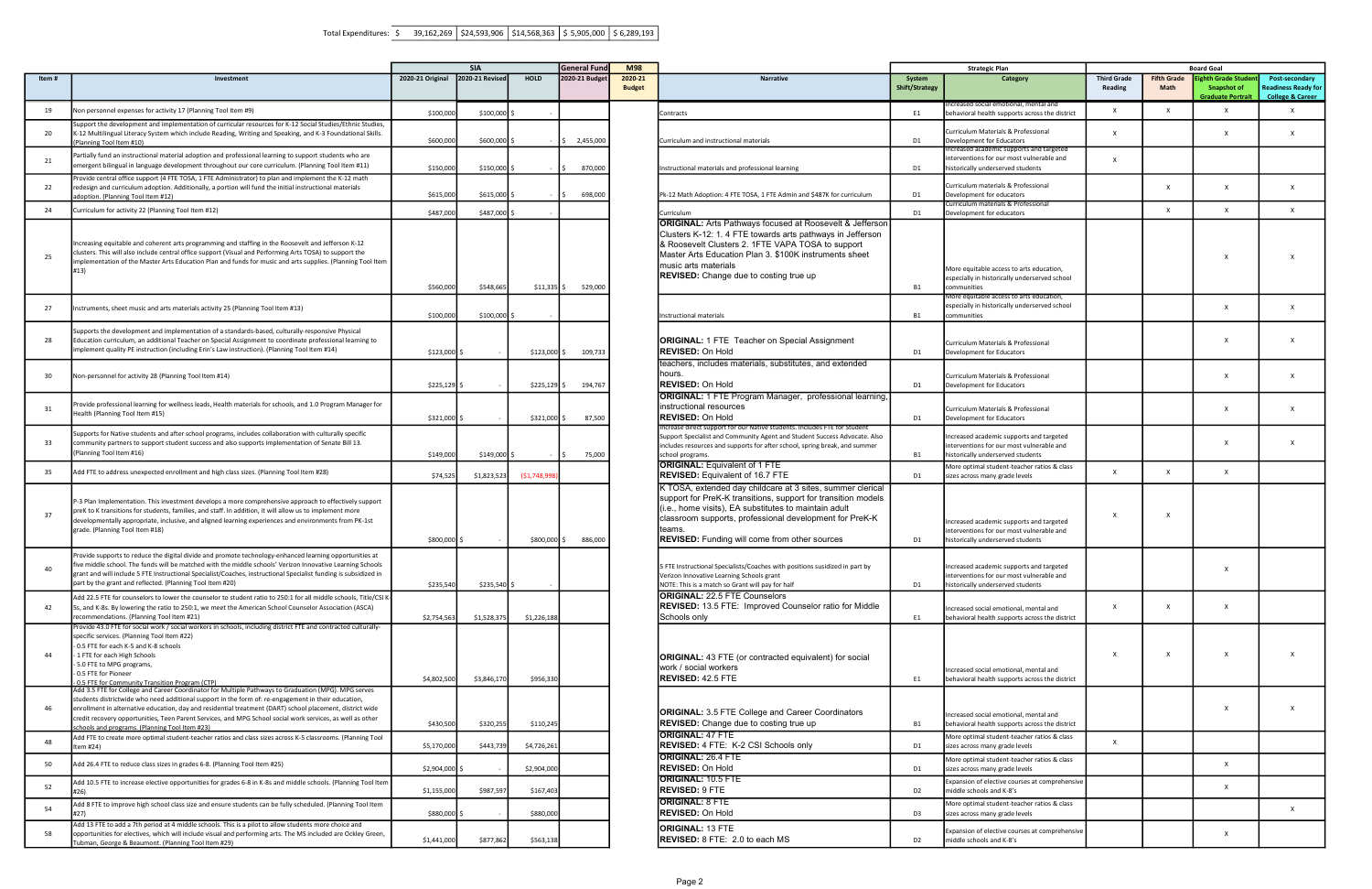|       |                                                                                                                                                                                                                                                                                                                                                                                                                                                                                         |                  | <b>SIA</b>      |              | <b>General Fund</b> | <b>M98</b>               |                                                                                                                                                                                                                                                                                                                       | <b>Strategic Plan</b>           |                                                                                                                                                      |                                      |                            | <b>Board Goal</b>                 |
|-------|-----------------------------------------------------------------------------------------------------------------------------------------------------------------------------------------------------------------------------------------------------------------------------------------------------------------------------------------------------------------------------------------------------------------------------------------------------------------------------------------|------------------|-----------------|--------------|---------------------|--------------------------|-----------------------------------------------------------------------------------------------------------------------------------------------------------------------------------------------------------------------------------------------------------------------------------------------------------------------|---------------------------------|------------------------------------------------------------------------------------------------------------------------------------------------------|--------------------------------------|----------------------------|-----------------------------------|
| Item# | Investment                                                                                                                                                                                                                                                                                                                                                                                                                                                                              | 2020-21 Original | 2020-21 Revised | <b>HOLD</b>  | 2020-21 Budget      | 2020-21<br><b>Budget</b> | <b>Narrative</b>                                                                                                                                                                                                                                                                                                      | System<br><b>Shift/Strategy</b> | Category                                                                                                                                             | <b>Third Grade</b><br><b>Reading</b> | <b>Fifth Grade</b><br>Math | <b>ighth Gr</b><br>Snap<br>Gradua |
| 19    | Non personnel expenses for activity 17 (Planning Tool Item #9)                                                                                                                                                                                                                                                                                                                                                                                                                          | \$100,000        | \$100,000       |              |                     |                          | Contracts                                                                                                                                                                                                                                                                                                             | E1                              | ncreased social emotional, mental and<br>behavioral health supports across the district                                                              | $\mathsf{x}$                         | $\mathsf{x}$               |                                   |
| 20    | Support the development and implementation of curricular resources for K-12 Social Studies/Ethnic Studies,<br>K-12 Multilingual Literacy System which include Reading, Writing and Speaking, and K-3 Foundational Skills.<br>Planning Tool Item #10)                                                                                                                                                                                                                                    | \$600,00         | \$600,000       |              | \$2,455,000         |                          | Curriculum and instructional materials                                                                                                                                                                                                                                                                                | D1                              | Curriculum Materials & Professional<br>Development for Educators                                                                                     | $\times$                             |                            |                                   |
| 21    | Partially fund an instructional material adoption and professional learning to support students who are<br>emergent bilingual in language development throughout our core curriculum. (Planning Tool Item #11)                                                                                                                                                                                                                                                                          | \$150,00         | \$150,000       |              | 870,000             |                          | Instructional materials and professional learning                                                                                                                                                                                                                                                                     | D1                              | Increased academic supports and targeted<br>interventions for our most vulnerable and<br>historically underserved students                           | $\times$                             |                            |                                   |
| 22    | rovide central office support (4 FTE TOSA, 1 FTE Administrator) to plan and implement the K-12 math<br>redesign and curriculum adoption. Additionally, a portion will fund the initial instructional materials<br>adoption. (Planning Tool Item #12)                                                                                                                                                                                                                                    | \$615,00         | \$615,000       |              | 698,000             |                          | Pk-12 Math Adoption: 4 FTE TOSA, 1 FTE Admin and \$487K for curriculum                                                                                                                                                                                                                                                | D1                              | Curriculum materials & Professional<br>Development for educators                                                                                     |                                      | X                          |                                   |
| 24    | Curriculum for activity 22 (Planning Tool Item #12)                                                                                                                                                                                                                                                                                                                                                                                                                                     | \$487,000        | \$487,000       |              |                     |                          | Curriculum                                                                                                                                                                                                                                                                                                            | D1                              | Curriculum materials & Professional<br>Development for educators                                                                                     |                                      | $\mathsf{x}$               |                                   |
| 25    | Increasing equitable and coherent arts programming and staffing in the Roosevelt and Jefferson K-12<br>clusters. This will also include central office support (Visual and Performing Arts TOSA) to support the<br>implementation of the Master Arts Education Plan and funds for music and arts supplies. (Planning Tool Item<br>#13)                                                                                                                                                  | \$560,000        | \$548,665       | $$11,335$ \$ | 529,000             |                          | <b>ORIGINAL:</b> Arts Pathways focused at Roosevelt & Jefferson<br>Clusters K-12: 1. 4 FTE towards arts pathways in Jefferson<br>& Roosevelt Clusters 2. 1FTE VAPA TOSA to support<br>Master Arts Education Plan 3. \$100K instruments sheet<br>music arts materials<br><b>REVISED:</b> Change due to costing true up | <b>B1</b>                       | More equitable access to arts education,<br>especially in historically underserved school<br>communities<br>More equitable access to arts education, |                                      |                            |                                   |
| 27    | Instruments, sheet music and arts materials activity 25 (Planning Tool Item #13)                                                                                                                                                                                                                                                                                                                                                                                                        | \$100,000        | $$100,000$ \$   |              |                     |                          | Instructional materials                                                                                                                                                                                                                                                                                               | <b>B1</b>                       | especially in historically underserved school<br>communities                                                                                         |                                      |                            |                                   |
| 28    | Supports the development and implementation of a standards-based, culturally-responsive Physical<br>Education curriculum, an additional Teacher on Special Assignment to coordinate professional learning to<br>implement quality PE instruction (including Erin's Law instruction). (Planning Tool Item #14)                                                                                                                                                                           | \$123,000 \$     |                 | \$123,000    | 109,733             |                          | <b>ORIGINAL: 1 FTE Teacher on Special Assignment</b><br><b>REVISED: On Hold</b>                                                                                                                                                                                                                                       | D <sub>1</sub>                  | Curriculum Materials & Professional<br>Development for Educators                                                                                     |                                      |                            |                                   |
| 30    | Non-personnel for activity 28 (Planning Tool Item #14)                                                                                                                                                                                                                                                                                                                                                                                                                                  | \$225,129        |                 | \$225,129    | 194,767             |                          | teachers, includes materials, substitutes, and extended<br>hours.<br><b>REVISED: On Hold</b><br><b>ORIGINAL:</b> 1 FTE Program Manager, professional learning                                                                                                                                                         | D <sub>1</sub>                  | Curriculum Materials & Professional<br>Development for Educators                                                                                     |                                      |                            |                                   |
| 31    | Provide professional learning for wellness leads, Health materials for schools, and 1.0 Program Manager for<br>Health (Planning Tool Item #15)                                                                                                                                                                                                                                                                                                                                          | \$321,000 \$     |                 | \$321,000    | 87,500              |                          | instructional resources<br><b>REVISED: On Hold</b>                                                                                                                                                                                                                                                                    | D <sub>1</sub>                  | Curriculum Materials & Professional<br>Development for Educators                                                                                     |                                      |                            |                                   |
| 33    | Supports for Native students and after school programs, includes collaboration with culturally specific<br>community partners to support student success and also supports implementation of Senate Bill 13.<br>(Planning Tool Item #16)                                                                                                                                                                                                                                                | \$149,000        | \$149,000       |              | 75,000              |                          | ncrease direct support for our Native students. Includes FTE for Stude<br>Support Specialist and Community Agent and Student Success Advocate. Also<br>includes resources and supports for after school, spring break, and summer<br>school programs.                                                                 | <b>B1</b>                       | Increased academic supports and targeted<br>interventions for our most vulnerable and<br>historically underserved students                           |                                      |                            |                                   |
| 35    | Add FTE to address unexpected enrollment and high class sizes. (Planning Tool Item #28)                                                                                                                                                                                                                                                                                                                                                                                                 | \$74,52          | \$1,823,523     | (\$1,748,998 |                     |                          | <b>ORIGINAL: Equivalent of 1 FTE</b><br><b>REVISED:</b> Equivalent of 16.7 FTE                                                                                                                                                                                                                                        | D <sub>1</sub>                  | More optimal student-teacher ratios & class<br>sizes across many grade levels                                                                        | $\times$                             | X                          |                                   |
| 37    | P-3 Plan Implementation. This investment develops a more comprehensive approach to effectively support<br>preK to K transitions for students, families, and staff. In addition, it will allow us to implement more<br>developmentally appropriate, inclusive, and aligned learning experiences and environments from PK-1st<br>grade. (Planning Tool Item #18)                                                                                                                          | \$800,000 \$     |                 | \$800,000    | 886,000             |                          | K TOSA, extended day childcare at 3 sites, summer clerical<br>support for PreK-K transitions, support for transition models<br>(i.e., home visits), EA substitutes to maintain adult<br>classroom supports, professional development for PreK-K<br><b>REVISED:</b> Funding will come from other sources               | D <sub>1</sub>                  | Increased academic supports and targeted<br>interventions for our most vulnerable and<br>historically underserved students                           | X                                    | x                          |                                   |
|       | Provide supports to reduce the digital divide and promote technology-enhanced learning opportunities at<br>five middle school. The funds will be matched with the middle schools' Verizon Innovative Learning Schools<br>grant and will include 5 FTE Instructional Specialist/Coaches, instructional Specialist funding is subsidized in<br>part by the grant and reflected. (Planning Tool Item #20)                                                                                  | \$235,540        | \$235,540       |              |                     |                          | 5 FTE Instructional Specialists/Coaches with positions susidized in part by<br>Verizon Innovative Learning Schools grant<br>NOTE: This is a match so Grant will pay for half                                                                                                                                          | D1                              | Increased academic supports and targeted<br>interventions for our most vulnerable and<br>historically underserved students                           |                                      |                            |                                   |
| 42    | Add 22.5 FTE for counselors to lower the counselor to student ratio to 250:1 for all middle schools, Title/CSI K<br>5s, and K-8s. By lowering the ratio to 250:1, we meet the American School Counselor Association (ASCA)<br>recommendations. (Planning Tool Item #21)                                                                                                                                                                                                                 | \$2,754,56       | \$1,528,375     | \$1,226,18   |                     |                          | <b>ORIGINAL: 22.5 FTE Counselors</b><br><b>REVISED: 13.5 FTE: Improved Counselor ratio for Middle</b><br>Schools only                                                                                                                                                                                                 | E1                              | Increased social emotional, mental and<br>behavioral health supports across the district                                                             | $\mathsf{X}$                         | $\mathsf{x}$               |                                   |
| 44    | Provide 43.0 FTE for social work / social workers in schools, including district FTE and contracted culturally-<br>specific services. (Planning Tool Item #22)<br>0.5 FTE for each K-5 and K-8 schools<br>- 1 FTE for each High Schools<br>- 5.0 FTE to MPG programs,<br>0.5 FTE for Pioneer<br>0.5 FTE for Community Transition Program (CTP)                                                                                                                                          | \$4,802,500      | \$3,846,170     | \$956,330    |                     |                          | <b>ORIGINAL:</b> 43 FTE (or contracted equivalent) for social<br>work / social workers<br><b>REVISED: 42.5 FTE</b>                                                                                                                                                                                                    | E1                              | Increased social emotional, mental and<br>behavioral health supports across the district                                                             | X                                    | X                          |                                   |
| 46    | Add 3.5 FTE for College and Career Coordinator for Multiple Pathways to Graduation (MPG). MPG serves<br>students districtwide who need additional support in the form of: re-engagement in their education,<br>enrollment in alternative education, day and residential treatment (DART) school placement, district wide<br>credit recovery opportunities, Teen Parent Services, and MPG School social work services, as well as other<br>chools and programs. (Planning Tool Item #23) | \$430,500        | \$320,255       | \$110,245    |                     |                          | <b>ORIGINAL:</b> 3.5 FTE College and Career Coordinators<br>REVISED: Change due to costing true up                                                                                                                                                                                                                    | <b>B1</b>                       | Increased social emotional, mental and<br>behavioral health supports across the district                                                             |                                      |                            |                                   |
| 48    | Add FTE to create more optimal student-teacher ratios and class sizes across K-5 classrooms. (Planning Tool<br>Item #24)                                                                                                                                                                                                                                                                                                                                                                | \$5,170,00       | \$443,73        | \$4,726,26   |                     |                          | <b>ORIGINAL: 47 FTE</b><br><b>REVISED:</b> 4 FTE: K-2 CSI Schools only                                                                                                                                                                                                                                                | D1                              | More optimal student-teacher ratios & class<br>sizes across many grade levels                                                                        | $\mathsf{X}$                         |                            |                                   |
| 50    | Add 26.4 FTE to reduce class sizes in grades 6-8. (Planning Tool Item #25)                                                                                                                                                                                                                                                                                                                                                                                                              | \$2,904,000      |                 | \$2,904,000  |                     |                          | <b>ORIGINAL: 26.4 FTE</b><br><b>REVISED: On Hold</b>                                                                                                                                                                                                                                                                  | D <sub>1</sub>                  | More optimal student-teacher ratios & class<br>sizes across many grade levels                                                                        |                                      |                            |                                   |
| 52    | Add 10.5 FTE to increase elective opportunities for grades 6-8 in K-8s and middle schools. (Planning Tool Item<br>#26)                                                                                                                                                                                                                                                                                                                                                                  | \$1,155,000      | \$987,597       | \$167,403    |                     |                          | <b>ORIGINAL: 10.5 FTE</b><br><b>REVISED: 9 FTE</b><br><b>ORIGINAL: 8 FTE</b>                                                                                                                                                                                                                                          | D <sub>2</sub>                  | Expansion of elective courses at comprehensive<br>middle schools and K-8's                                                                           |                                      |                            |                                   |
| 54    | Add 8 FTE to improve high school class size and ensure students can be fully scheduled. (Planning Tool Item<br>#27)                                                                                                                                                                                                                                                                                                                                                                     | \$880,000        |                 | \$880,000    |                     |                          | <b>REVISED: On Hold</b>                                                                                                                                                                                                                                                                                               | D <sub>3</sub>                  | More optimal student-teacher ratios & class<br>sizes across many grade levels                                                                        |                                      |                            |                                   |
| 58    | Add 13 FTE to add a 7th period at 4 middle schools. This is a pilot to allow students more choice and<br>opportunities for electives, which will include visual and performing arts. The MS included are Ockley Green,<br>ubman, George & Beaumont. (Planning Tool Item #29)                                                                                                                                                                                                            | \$1,441,000      | \$877,862       | \$563,138    |                     |                          | <b>ORIGINAL: 13 FTE</b><br><b>REVISED:</b> 8 FTE: 2.0 to each MS                                                                                                                                                                                                                                                      | D <sub>2</sub>                  | Expansion of elective courses at comprehensive<br>middle schools and K-8's                                                                           |                                      |                            |                                   |

| <b>Strategic Plan</b>                                                                                                      |                                      |                            |                                                                                                    |                                                                             |
|----------------------------------------------------------------------------------------------------------------------------|--------------------------------------|----------------------------|----------------------------------------------------------------------------------------------------|-----------------------------------------------------------------------------|
| <b>Category</b>                                                                                                            | <b>Third Grade</b><br><b>Reading</b> | <b>Fifth Grade</b><br>Math | <b>Board Goal</b><br><b>Eighth Grade Student</b><br><b>Snapshot of</b><br><b>Graduate Portrait</b> | Post-secondary<br><b>Readiness Ready for</b><br><b>College &amp; Career</b> |
| Increased social emotional, mental and<br>behavioral health supports across the district                                   | X                                    | x                          | X                                                                                                  | X                                                                           |
| Curriculum Materials & Professional<br>Development for Educators                                                           | x                                    |                            | x                                                                                                  | x                                                                           |
| Increased academic supports and targeted<br>interventions for our most vulnerable and<br>historically underserved students | x                                    |                            |                                                                                                    |                                                                             |
| Curriculum materials & Professional<br>Development for educators                                                           |                                      | X                          | x                                                                                                  | x                                                                           |
| Curriculum materials & Professional<br>Development for educators                                                           |                                      | x                          | x                                                                                                  | X                                                                           |
| More equitable access to arts education,<br>especially in historically underserved school<br>communities                   |                                      |                            | X                                                                                                  | x                                                                           |
| More equitable access to arts education,<br>especially in historically underserved school<br>communities                   |                                      |                            | Χ                                                                                                  | X                                                                           |
| Curriculum Materials & Professional<br>Development for Educators                                                           |                                      |                            | x                                                                                                  | X                                                                           |
| Curriculum Materials & Professional<br>Development for Educators                                                           |                                      |                            | X                                                                                                  | x                                                                           |
| Curriculum Materials & Professional<br>Development for Educators                                                           |                                      |                            | X                                                                                                  | x                                                                           |
| Increased academic supports and targeted<br>interventions for our most vulnerable and<br>historically underserved students |                                      |                            | X                                                                                                  | x                                                                           |
| More optimal student-teacher ratios & class<br>sizes across many grade levels                                              | X                                    | X                          | X                                                                                                  |                                                                             |
| Increased academic supports and targeted<br>interventions for our most vulnerable and<br>historically underserved students | x                                    | x                          |                                                                                                    |                                                                             |
| Increased academic supports and targeted<br>interventions for our most vulnerable and<br>historically underserved students |                                      |                            | Χ                                                                                                  |                                                                             |
| Increased social emotional, mental and<br>behavioral health supports across the district                                   | X                                    | x                          | X                                                                                                  |                                                                             |
| Increased social emotional, mental and<br>behavioral health supports across the district                                   | x                                    | X                          | x                                                                                                  | x                                                                           |
| Increased social emotional, mental and<br>behavioral health supports across the district                                   |                                      |                            | Χ                                                                                                  | x                                                                           |
| More optimal student-teacher ratios & class<br>sizes across many grade levels                                              | x                                    |                            |                                                                                                    |                                                                             |
| More optimal student-teacher ratios & class<br>sizes across many grade levels                                              |                                      |                            | x                                                                                                  |                                                                             |
| Expansion of elective courses at comprehensive<br>middle schools and K-8's                                                 |                                      |                            | Χ                                                                                                  |                                                                             |
| More optimal student-teacher ratios & class<br>sizes across many grade levels                                              |                                      |                            |                                                                                                    | x                                                                           |
| Expansion of elective courses at comprehensive<br>middle schools and K-8's                                                 |                                      |                            | X                                                                                                  |                                                                             |